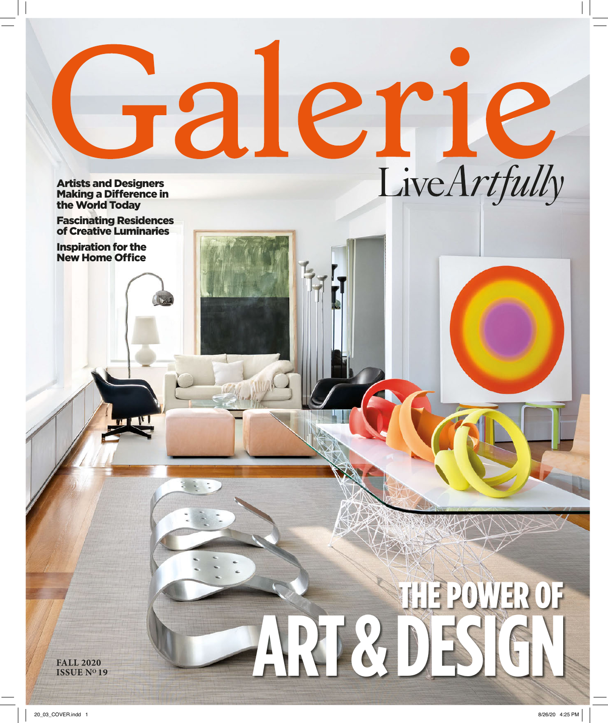ARTICTIC **Making a Difference in** the World Today

Fascinating Residences of Creative Luminaries

Inspiration for the **New Home Office** 

> THE POWER OF **ISSUE NO 19 ART & DESIGN**

**FALL 2020<br><b>ISSUE Nº 19**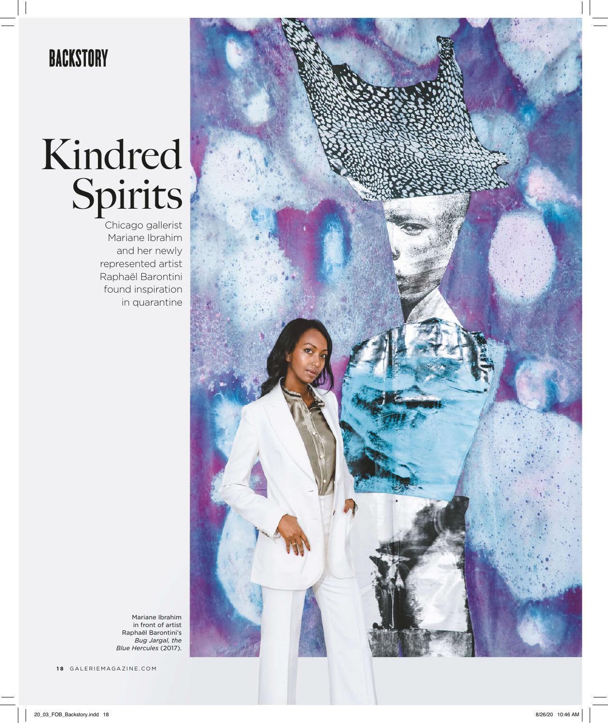# **BACKSTORY**

# Kindred Spirits

Chicago gallerist Mariane Ibrahim and her newly represented artist Raphaël Barontini found inspiration in quarantine